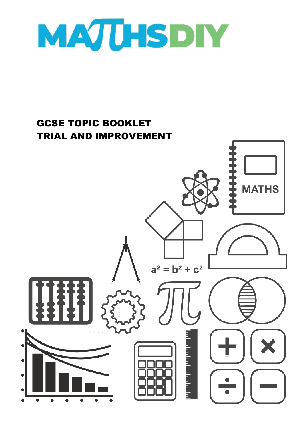

## GCSE TOPIC BOOKLET TRIAL AND IMPROVEMENT

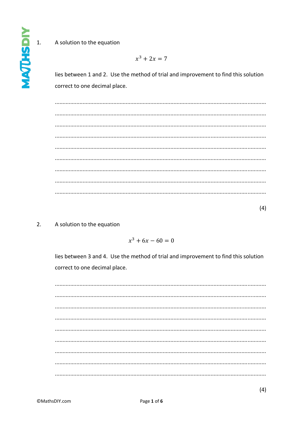## A solution to the equation

 $x^3 + 2x = 7$ 

lies between 1 and 2. Use the method of trial and improvement to find this solution correct to one decimal place.

 $(4)$ 

#### $2.$ A solution to the equation

 $x^3 + 6x - 60 = 0$ 

lies between 3 and 4. Use the method of trial and improvement to find this solution correct to one decimal place.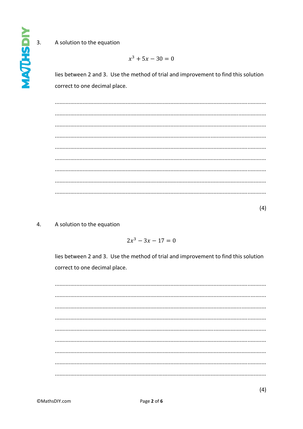**IGSPLIZON**  $3.$ 

## A solution to the equation

$$
x^3+5x-30=0
$$

lies between 2 and 3. Use the method of trial and improvement to find this solution correct to one decimal place.

#### $\mathbf{4}$ . A solution to the equation

 $2x^3 - 3x - 17 = 0$ 

lies between 2 and 3. Use the method of trial and improvement to find this solution correct to one decimal place.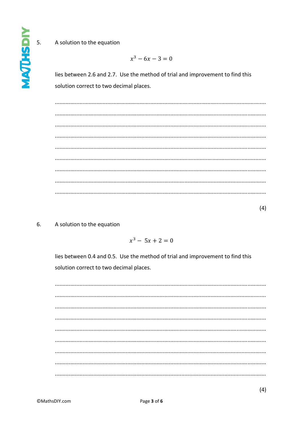**IGSHTDW** 5.

## A solution to the equation

 $x^3 - 6x - 3 = 0$ 

lies between 2.6 and 2.7. Use the method of trial and improvement to find this solution correct to two decimal places.

 $(4)$ 

#### $6.$ A solution to the equation

 $x^3 - 5x + 2 = 0$ 

lies between 0.4 and 0.5. Use the method of trial and improvement to find this solution correct to two decimal places.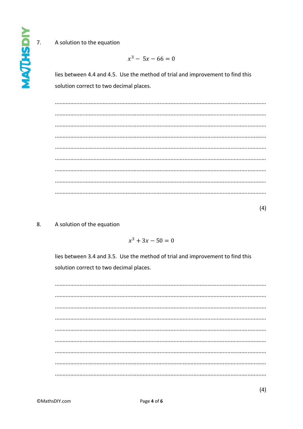# **INTURN**  $\overline{7}$ .

## A solution to the equation

$$
x^3 - 5x - 66 = 0
$$

lies between 4.4 and 4.5. Use the method of trial and improvement to find this solution correct to two decimal places.

 $(4)$ 

#### 8. A solution of the equation

 $x^3 + 3x - 50 = 0$ 

lies between 3.4 and 3.5. Use the method of trial and improvement to find this solution correct to two decimal places.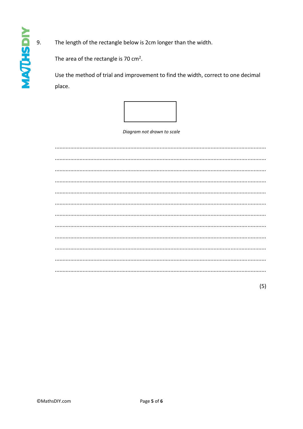The length of the rectangle below is 2cm longer than the width.

The area of the rectangle is 70 cm<sup>2</sup>.

Use the method of trial and improvement to find the width, correct to one decimal place.



Diagram not drawn to scale